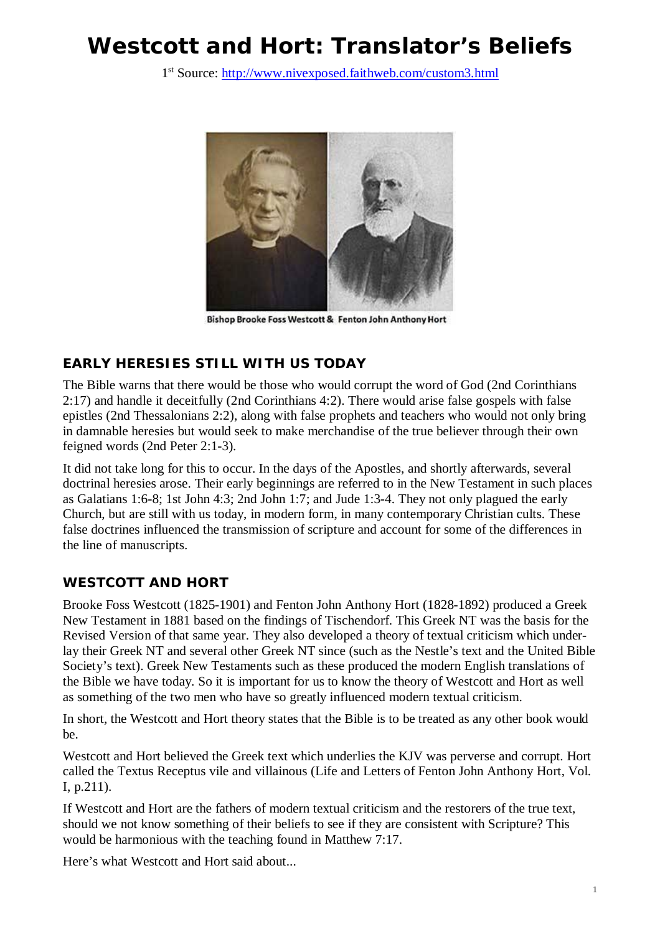# **Westcott and Hort: Translator's Beliefs**

1<sup>st</sup> Source: <http://www.nivexposed.faithweb.com/custom3.html>



Bishop Brooke Foss Westcott & Fenton John Anthony Hort

# **EARLY HERESIES STILL WITH US TODAY**

The Bible warns that there would be those who would corrupt the word of God (2nd Corinthians 2:17) and handle it deceitfully (2nd Corinthians 4:2). There would arise false gospels with false epistles (2nd Thessalonians 2:2), along with false prophets and teachers who would not only bring in damnable heresies but would seek to make merchandise of the true believer through their own feigned words (2nd Peter 2:1-3).

It did not take long for this to occur. In the days of the Apostles, and shortly afterwards, several doctrinal heresies arose. Their early beginnings are referred to in the New Testament in such places as Galatians 1:6-8; 1st John 4:3; 2nd John 1:7; and Jude 1:3-4. They not only plagued the early Church, but are still with us today, in modern form, in many contemporary Christian cults. These false doctrines influenced the transmission of scripture and account for some of the differences in the line of manuscripts.

## **WESTCOTT AND HORT**

Brooke Foss Westcott (1825-1901) and Fenton John Anthony Hort (1828-1892) produced a Greek New Testament in 1881 based on the findings of Tischendorf. This Greek NT was the basis for the Revised Version of that same year. They also developed a theory of textual criticism which underlay their Greek NT and several other Greek NT since (such as the Nestle's text and the United Bible Society's text). Greek New Testaments such as these produced the modern English translations of the Bible we have today. So it is important for us to know the theory of Westcott and Hort as well as something of the two men who have so greatly influenced modern textual criticism.

In short, the Westcott and Hort theory states that the Bible is to be treated as any other book would be.

Westcott and Hort believed the Greek text which underlies the KJV was perverse and corrupt. Hort called the Textus Receptus vile and villainous (Life and Letters of Fenton John Anthony Hort, Vol. I, p.211).

If Westcott and Hort are the fathers of modern textual criticism and the restorers of the true text, should we not know something of their beliefs to see if they are consistent with Scripture? This would be harmonious with the teaching found in Matthew 7:17.

Here's what Westcott and Hort said about...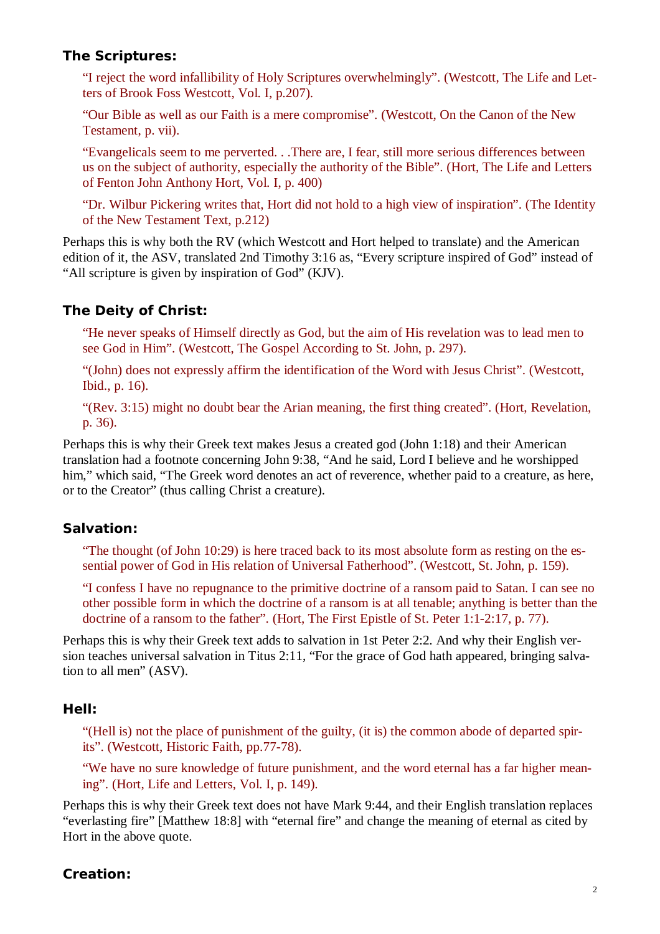#### **The Scriptures:**

"I reject the word infallibility of Holy Scriptures overwhelmingly". (Westcott, The Life and Letters of Brook Foss Westcott, Vol. I, p.207).

"Our Bible as well as our Faith is a mere compromise". (Westcott, On the Canon of the New Testament, p. vii).

"Evangelicals seem to me perverted. . .There are, I fear, still more serious differences between us on the subject of authority, especially the authority of the Bible". (Hort, The Life and Letters of Fenton John Anthony Hort, Vol. I, p. 400)

"Dr. Wilbur Pickering writes that, Hort did not hold to a high view of inspiration". (The Identity of the New Testament Text, p.212)

Perhaps this is why both the RV (which Westcott and Hort helped to translate) and the American edition of it, the ASV, translated 2nd Timothy 3:16 as, "Every scripture inspired of God" instead of "All scripture is given by inspiration of God" (KJV).

#### **The Deity of Christ:**

"He never speaks of Himself directly as God, but the aim of His revelation was to lead men to see God in Him". (Westcott, The Gospel According to St. John, p. 297).

"(John) does not expressly affirm the identification of the Word with Jesus Christ". (Westcott, Ibid., p. 16).

"(Rev. 3:15) might no doubt bear the Arian meaning, the first thing created". (Hort, Revelation, p. 36).

Perhaps this is why their Greek text makes Jesus a created god (John 1:18) and their American translation had a footnote concerning John 9:38, "And he said, Lord I believe and he worshipped him," which said, "The Greek word denotes an act of reverence, whether paid to a creature, as here, or to the Creator" (thus calling Christ a creature).

#### **Salvation:**

"The thought (of John 10:29) is here traced back to its most absolute form as resting on the essential power of God in His relation of Universal Fatherhood". (Westcott, St. John, p. 159).

"I confess I have no repugnance to the primitive doctrine of a ransom paid to Satan. I can see no other possible form in which the doctrine of a ransom is at all tenable; anything is better than the doctrine of a ransom to the father". (Hort, The First Epistle of St. Peter 1:1-2:17, p. 77).

Perhaps this is why their Greek text adds to salvation in 1st Peter 2:2. And why their English version teaches universal salvation in Titus 2:11, "For the grace of God hath appeared, bringing salvation to all men" (ASV).

#### **Hell:**

"(Hell is) not the place of punishment of the guilty, (it is) the common abode of departed spirits". (Westcott, Historic Faith, pp.77-78).

"We have no sure knowledge of future punishment, and the word eternal has a far higher meaning". (Hort, Life and Letters, Vol. I, p. 149).

Perhaps this is why their Greek text does not have Mark 9:44, and their English translation replaces "everlasting fire" [Matthew 18:8] with "eternal fire" and change the meaning of eternal as cited by Hort in the above quote.

#### **Creation:**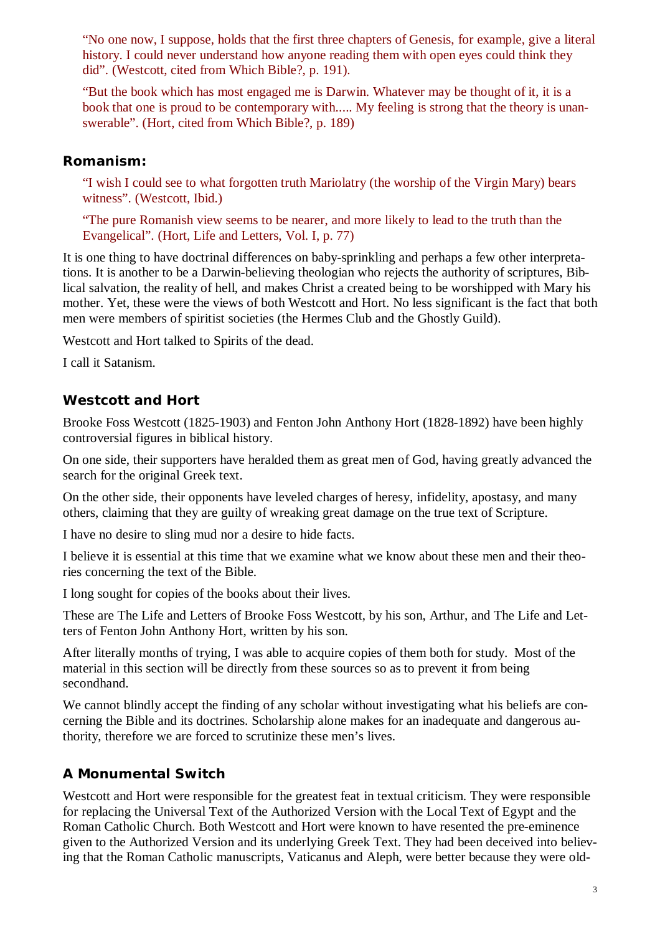"No one now, I suppose, holds that the first three chapters of Genesis, for example, give a literal history. I could never understand how anyone reading them with open eyes could think they did". (Westcott, cited from Which Bible?, p. 191).

"But the book which has most engaged me is Darwin. Whatever may be thought of it, it is a book that one is proud to be contemporary with..... My feeling is strong that the theory is unanswerable". (Hort, cited from Which Bible?, p. 189)

### **Romanism:**

"I wish I could see to what forgotten truth Mariolatry (the worship of the Virgin Mary) bears witness". (Westcott, Ibid.)

"The pure Romanish view seems to be nearer, and more likely to lead to the truth than the Evangelical". (Hort, Life and Letters, Vol. I, p. 77)

It is one thing to have doctrinal differences on baby-sprinkling and perhaps a few other interpretations. It is another to be a Darwin-believing theologian who rejects the authority of scriptures, Biblical salvation, the reality of hell, and makes Christ a created being to be worshipped with Mary his mother. Yet, these were the views of both Westcott and Hort. No less significant is the fact that both men were members of spiritist societies (the Hermes Club and the Ghostly Guild).

Westcott and Hort talked to Spirits of the dead.

I call it Satanism.

## **Westcott and Hort**

Brooke Foss Westcott (1825-1903) and Fenton John Anthony Hort (1828-1892) have been highly controversial figures in biblical history.

On one side, their supporters have heralded them as great men of God, having greatly advanced the search for the original Greek text.

On the other side, their opponents have leveled charges of heresy, infidelity, apostasy, and many others, claiming that they are guilty of wreaking great damage on the true text of Scripture.

I have no desire to sling mud nor a desire to hide facts.

I believe it is essential at this time that we examine what we know about these men and their theories concerning the text of the Bible.

I long sought for copies of the books about their lives.

These are The Life and Letters of Brooke Foss Westcott, by his son, Arthur, and The Life and Letters of Fenton John Anthony Hort, written by his son.

After literally months of trying, I was able to acquire copies of them both for study. Most of the material in this section will be directly from these sources so as to prevent it from being secondhand.

We cannot blindly accept the finding of any scholar without investigating what his beliefs are concerning the Bible and its doctrines. Scholarship alone makes for an inadequate and dangerous authority, therefore we are forced to scrutinize these men's lives.

# **A Monumental Switch**

Westcott and Hort were responsible for the greatest feat in textual criticism. They were responsible for replacing the Universal Text of the Authorized Version with the Local Text of Egypt and the Roman Catholic Church. Both Westcott and Hort were known to have resented the pre-eminence given to the Authorized Version and its underlying Greek Text. They had been deceived into believing that the Roman Catholic manuscripts, Vaticanus and Aleph, were better because they were old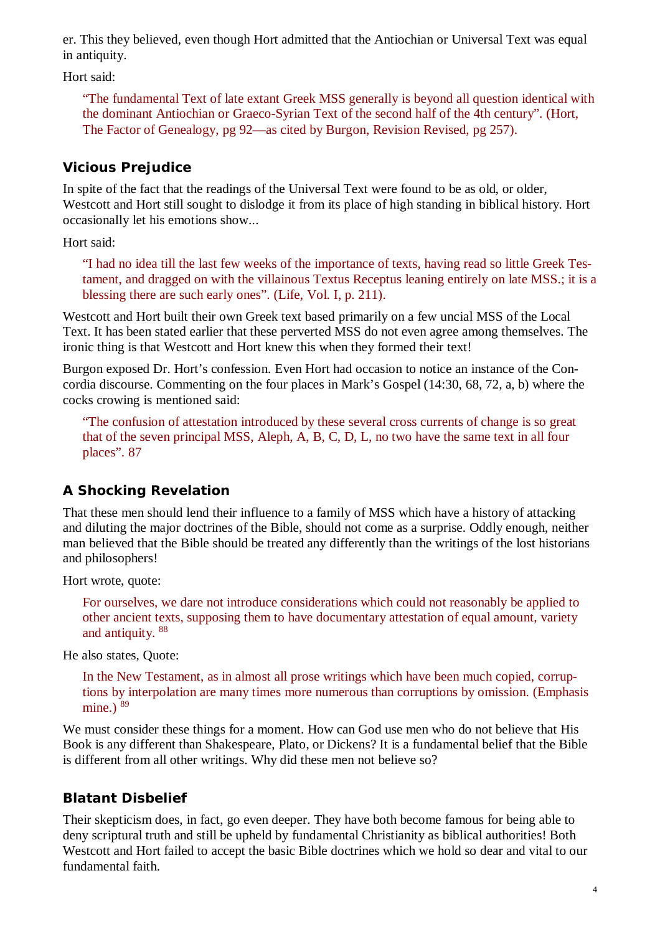er. This they believed, even though Hort admitted that the Antiochian or Universal Text was equal in antiquity.

Hort said:

"The fundamental Text of late extant Greek MSS generally is beyond all question identical with the dominant Antiochian or Graeco-Syrian Text of the second half of the 4th century". (Hort, The Factor of Genealogy, pg 92—as cited by Burgon, Revision Revised, pg 257).

# **Vicious Prejudice**

In spite of the fact that the readings of the Universal Text were found to be as old, or older, Westcott and Hort still sought to dislodge it from its place of high standing in biblical history. Hort occasionally let his emotions show...

Hort said:

"I had no idea till the last few weeks of the importance of texts, having read so little Greek Testament, and dragged on with the villainous Textus Receptus leaning entirely on late MSS.; it is a blessing there are such early ones". (Life, Vol. I, p. 211).

Westcott and Hort built their own Greek text based primarily on a few uncial MSS of the Local Text. It has been stated earlier that these perverted MSS do not even agree among themselves. The ironic thing is that Westcott and Hort knew this when they formed their text!

Burgon exposed Dr. Hort's confession. Even Hort had occasion to notice an instance of the Concordia discourse. Commenting on the four places in Mark's Gospel (14:30, 68, 72, a, b) where the cocks crowing is mentioned said:

"The confusion of attestation introduced by these several cross currents of change is so great that of the seven principal MSS, Aleph, A, B, C, D, L, no two have the same text in all four places". 87

# **A Shocking Revelation**

That these men should lend their influence to a family of MSS which have a history of attacking and diluting the major doctrines of the Bible, should not come as a surprise. Oddly enough, neither man believed that the Bible should be treated any differently than the writings of the lost historians and philosophers!

Hort wrote, quote:

For ourselves, we dare not introduce considerations which could not reasonably be applied to other ancient texts, supposing them to have documentary attestation of equal amount, variety and antiquity. <sup>88</sup>

He also states, Quote:

In the New Testament, as in almost all prose writings which have been much copied, corruptions by interpolation are many times more numerous than corruptions by omission. (Emphasis mine.)  $89$ 

We must consider these things for a moment. How can God use men who do not believe that His Book is any different than Shakespeare, Plato, or Dickens? It is a fundamental belief that the Bible is different from all other writings. Why did these men not believe so?

## **Blatant Disbelief**

Their skepticism does, in fact, go even deeper. They have both become famous for being able to deny scriptural truth and still be upheld by fundamental Christianity as biblical authorities! Both Westcott and Hort failed to accept the basic Bible doctrines which we hold so dear and vital to our fundamental faith.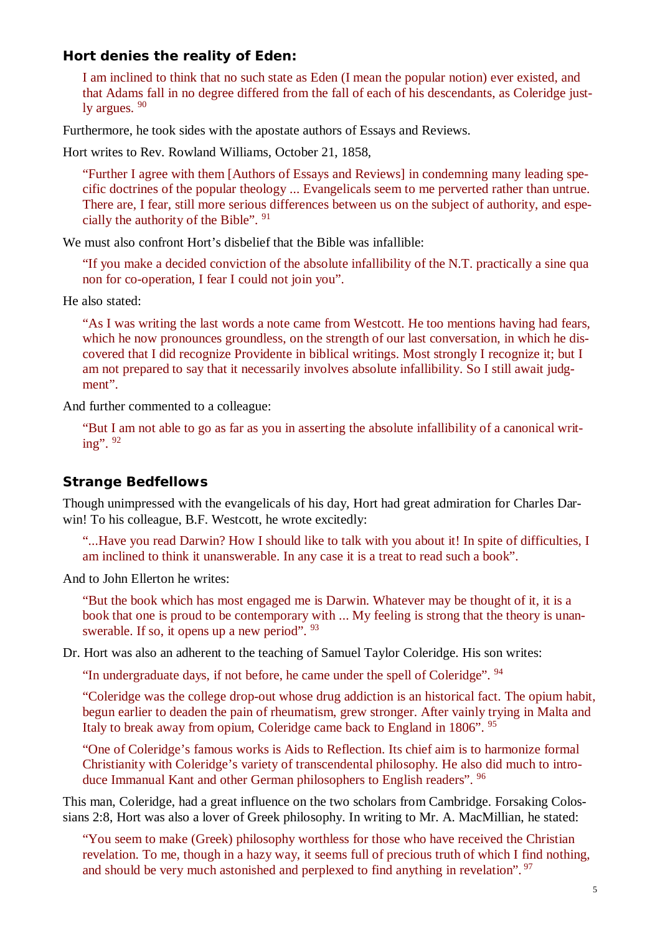#### **Hort denies the reality of Eden:**

I am inclined to think that no such state as Eden (I mean the popular notion) ever existed, and that Adams fall in no degree differed from the fall of each of his descendants, as Coleridge justly argues. <sup>90</sup>

Furthermore, he took sides with the apostate authors of Essays and Reviews.

Hort writes to Rev. Rowland Williams, October 21, 1858,

"Further I agree with them [Authors of Essays and Reviews] in condemning many leading specific doctrines of the popular theology ... Evangelicals seem to me perverted rather than untrue. There are, I fear, still more serious differences between us on the subject of authority, and especially the authority of the Bible". <sup>91</sup>

We must also confront Hort's disbelief that the Bible was infallible:

"If you make a decided conviction of the absolute infallibility of the N.T. practically a sine qua non for co-operation, I fear I could not join you".

He also stated:

"As I was writing the last words a note came from Westcott. He too mentions having had fears, which he now pronounces groundless, on the strength of our last conversation, in which he discovered that I did recognize Providente in biblical writings. Most strongly I recognize it; but I am not prepared to say that it necessarily involves absolute infallibility. So I still await judgment".

And further commented to a colleague:

"But I am not able to go as far as you in asserting the absolute infallibility of a canonical writing".  $92$ 

#### **Strange Bedfellows**

Though unimpressed with the evangelicals of his day, Hort had great admiration for Charles Darwin! To his colleague, B.F. Westcott, he wrote excitedly:

"...Have you read Darwin? How I should like to talk with you about it! In spite of difficulties, I am inclined to think it unanswerable. In any case it is a treat to read such a book".

And to John Ellerton he writes:

"But the book which has most engaged me is Darwin. Whatever may be thought of it, it is a book that one is proud to be contemporary with ... My feeling is strong that the theory is unanswerable. If so, it opens up a new period".  $93$ 

Dr. Hort was also an adherent to the teaching of Samuel Taylor Coleridge. His son writes:

"In undergraduate days, if not before, he came under the spell of Coleridge". <sup>94</sup>

"Coleridge was the college drop-out whose drug addiction is an historical fact. The opium habit, begun earlier to deaden the pain of rheumatism, grew stronger. After vainly trying in Malta and Italy to break away from opium, Coleridge came back to England in 1806". <sup>95</sup>

"One of Coleridge's famous works is Aids to Reflection. Its chief aim is to harmonize formal Christianity with Coleridge's variety of transcendental philosophy. He also did much to introduce Immanual Kant and other German philosophers to English readers". <sup>96</sup>

This man, Coleridge, had a great influence on the two scholars from Cambridge. Forsaking Colossians 2:8, Hort was also a lover of Greek philosophy. In writing to Mr. A. MacMillian, he stated:

"You seem to make (Greek) philosophy worthless for those who have received the Christian revelation. To me, though in a hazy way, it seems full of precious truth of which I find nothing, and should be very much astonished and perplexed to find anything in revelation". <sup>97</sup>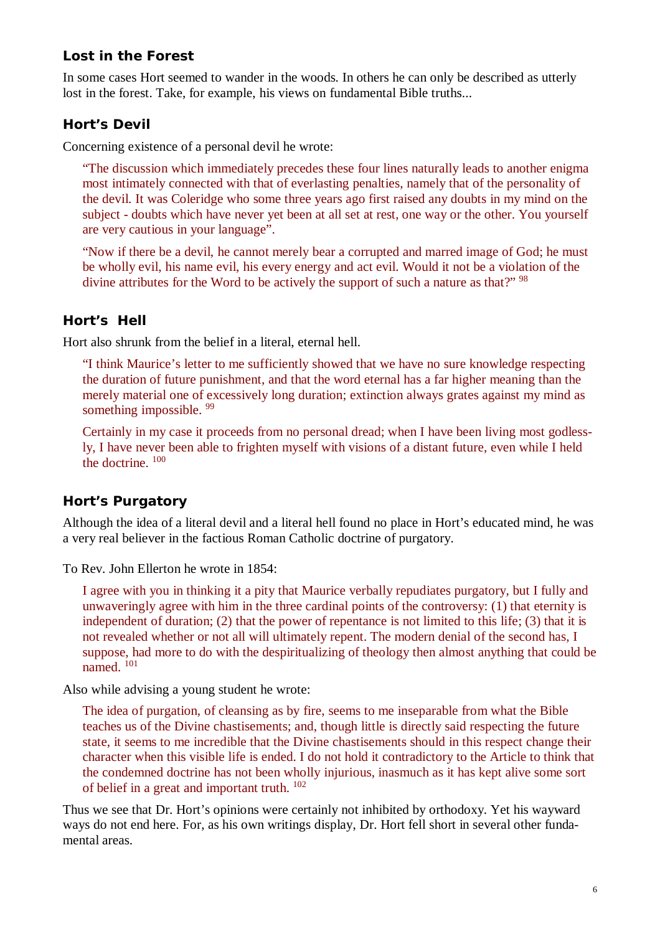## **Lost in the Forest**

In some cases Hort seemed to wander in the woods. In others he can only be described as utterly lost in the forest. Take, for example, his views on fundamental Bible truths...

# **Hort's Devil**

Concerning existence of a personal devil he wrote:

"The discussion which immediately precedes these four lines naturally leads to another enigma most intimately connected with that of everlasting penalties, namely that of the personality of the devil. It was Coleridge who some three years ago first raised any doubts in my mind on the subject - doubts which have never yet been at all set at rest, one way or the other. You yourself are very cautious in your language".

"Now if there be a devil, he cannot merely bear a corrupted and marred image of God; he must be wholly evil, his name evil, his every energy and act evil. Would it not be a violation of the divine attributes for the Word to be actively the support of such a nature as that?" <sup>98</sup>

## **Hort's Hell**

Hort also shrunk from the belief in a literal, eternal hell.

"I think Maurice's letter to me sufficiently showed that we have no sure knowledge respecting the duration of future punishment, and that the word eternal has a far higher meaning than the merely material one of excessively long duration; extinction always grates against my mind as something impossible. <sup>99</sup>

Certainly in my case it proceeds from no personal dread; when I have been living most godlessly, I have never been able to frighten myself with visions of a distant future, even while I held the doctrine. <sup>100</sup>

# **Hort's Purgatory**

Although the idea of a literal devil and a literal hell found no place in Hort's educated mind, he was a very real believer in the factious Roman Catholic doctrine of purgatory.

To Rev. John Ellerton he wrote in 1854:

I agree with you in thinking it a pity that Maurice verbally repudiates purgatory, but I fully and unwaveringly agree with him in the three cardinal points of the controversy: (1) that eternity is independent of duration; (2) that the power of repentance is not limited to this life; (3) that it is not revealed whether or not all will ultimately repent. The modern denial of the second has, I suppose, had more to do with the despiritualizing of theology then almost anything that could be named. <sup>101</sup>

Also while advising a young student he wrote:

The idea of purgation, of cleansing as by fire, seems to me inseparable from what the Bible teaches us of the Divine chastisements; and, though little is directly said respecting the future state, it seems to me incredible that the Divine chastisements should in this respect change their character when this visible life is ended. I do not hold it contradictory to the Article to think that the condemned doctrine has not been wholly injurious, inasmuch as it has kept alive some sort of belief in a great and important truth. <sup>102</sup>

Thus we see that Dr. Hort's opinions were certainly not inhibited by orthodoxy. Yet his wayward ways do not end here. For, as his own writings display, Dr. Hort fell short in several other fundamental areas.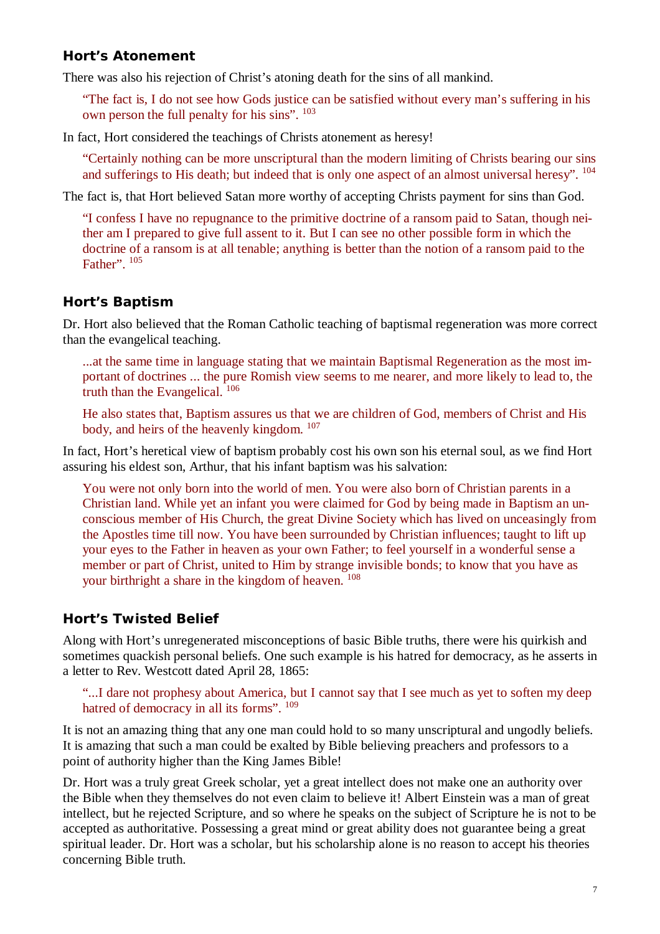## **Hort's Atonement**

There was also his rejection of Christ's atoning death for the sins of all mankind.

"The fact is, I do not see how Gods justice can be satisfied without every man's suffering in his own person the full penalty for his sins". <sup>103</sup>

In fact, Hort considered the teachings of Christs atonement as heresy!

"Certainly nothing can be more unscriptural than the modern limiting of Christs bearing our sins and sufferings to His death; but indeed that is only one aspect of an almost universal heresy". <sup>104</sup>

The fact is, that Hort believed Satan more worthy of accepting Christs payment for sins than God.

"I confess I have no repugnance to the primitive doctrine of a ransom paid to Satan, though neither am I prepared to give full assent to it. But I can see no other possible form in which the doctrine of a ransom is at all tenable; anything is better than the notion of a ransom paid to the Father". <sup>105</sup>

## **Hort's Baptism**

Dr. Hort also believed that the Roman Catholic teaching of baptismal regeneration was more correct than the evangelical teaching.

...at the same time in language stating that we maintain Baptismal Regeneration as the most important of doctrines ... the pure Romish view seems to me nearer, and more likely to lead to, the truth than the Evangelical. <sup>106</sup>

He also states that, Baptism assures us that we are children of God, members of Christ and His body, and heirs of the heavenly kingdom. 107

In fact, Hort's heretical view of baptism probably cost his own son his eternal soul, as we find Hort assuring his eldest son, Arthur, that his infant baptism was his salvation:

You were not only born into the world of men. You were also born of Christian parents in a Christian land. While yet an infant you were claimed for God by being made in Baptism an unconscious member of His Church, the great Divine Society which has lived on unceasingly from the Apostles time till now. You have been surrounded by Christian influences; taught to lift up your eyes to the Father in heaven as your own Father; to feel yourself in a wonderful sense a member or part of Christ, united to Him by strange invisible bonds; to know that you have as your birthright a share in the kingdom of heaven. <sup>108</sup>

#### **Hort's Twisted Belief**

Along with Hort's unregenerated misconceptions of basic Bible truths, there were his quirkish and sometimes quackish personal beliefs. One such example is his hatred for democracy, as he asserts in a letter to Rev. Westcott dated April 28, 1865:

"...I dare not prophesy about America, but I cannot say that I see much as yet to soften my deep hatred of democracy in all its forms".  $^{109}$ 

It is not an amazing thing that any one man could hold to so many unscriptural and ungodly beliefs. It is amazing that such a man could be exalted by Bible believing preachers and professors to a point of authority higher than the King James Bible!

Dr. Hort was a truly great Greek scholar, yet a great intellect does not make one an authority over the Bible when they themselves do not even claim to believe it! Albert Einstein was a man of great intellect, but he rejected Scripture, and so where he speaks on the subject of Scripture he is not to be accepted as authoritative. Possessing a great mind or great ability does not guarantee being a great spiritual leader. Dr. Hort was a scholar, but his scholarship alone is no reason to accept his theories concerning Bible truth.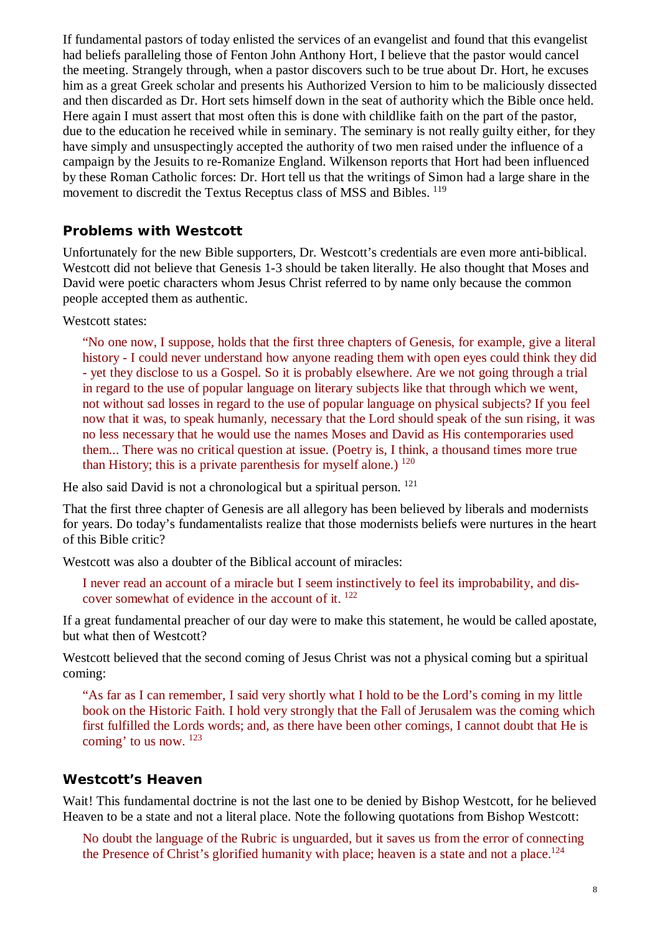If fundamental pastors of today enlisted the services of an evangelist and found that this evangelist had beliefs paralleling those of Fenton John Anthony Hort, I believe that the pastor would cancel the meeting. Strangely through, when a pastor discovers such to be true about Dr. Hort, he excuses him as a great Greek scholar and presents his Authorized Version to him to be maliciously dissected and then discarded as Dr. Hort sets himself down in the seat of authority which the Bible once held. Here again I must assert that most often this is done with childlike faith on the part of the pastor, due to the education he received while in seminary. The seminary is not really guilty either, for they have simply and unsuspectingly accepted the authority of two men raised under the influence of a campaign by the Jesuits to re-Romanize England. Wilkenson reports that Hort had been influenced by these Roman Catholic forces: Dr. Hort tell us that the writings of Simon had a large share in the movement to discredit the Textus Receptus class of MSS and Bibles. <sup>119</sup>

#### **Problems with Westcott**

Unfortunately for the new Bible supporters, Dr. Westcott's credentials are even more anti-biblical. Westcott did not believe that Genesis 1-3 should be taken literally. He also thought that Moses and David were poetic characters whom Jesus Christ referred to by name only because the common people accepted them as authentic.

Westcott states:

"No one now, I suppose, holds that the first three chapters of Genesis, for example, give a literal history - I could never understand how anyone reading them with open eyes could think they did - yet they disclose to us a Gospel. So it is probably elsewhere. Are we not going through a trial in regard to the use of popular language on literary subjects like that through which we went, not without sad losses in regard to the use of popular language on physical subjects? If you feel now that it was, to speak humanly, necessary that the Lord should speak of the sun rising, it was no less necessary that he would use the names Moses and David as His contemporaries used them... There was no critical question at issue. (Poetry is, I think, a thousand times more true than History; this is a private parenthesis for myself alone.)  $120$ 

He also said David is not a chronological but a spiritual person. <sup>121</sup>

That the first three chapter of Genesis are all allegory has been believed by liberals and modernists for years. Do today's fundamentalists realize that those modernists beliefs were nurtures in the heart of this Bible critic?

Westcott was also a doubter of the Biblical account of miracles:

I never read an account of a miracle but I seem instinctively to feel its improbability, and discover somewhat of evidence in the account of it. <sup>122</sup>

If a great fundamental preacher of our day were to make this statement, he would be called apostate, but what then of Westcott?

Westcott believed that the second coming of Jesus Christ was not a physical coming but a spiritual coming:

"As far as I can remember, I said very shortly what I hold to be the Lord's coming in my little book on the Historic Faith. I hold very strongly that the Fall of Jerusalem was the coming which first fulfilled the Lords words; and, as there have been other comings, I cannot doubt that He is coming' to us now.  $^{123}$ 

#### **Westcott's Heaven**

Wait! This fundamental doctrine is not the last one to be denied by Bishop Westcott, for he believed Heaven to be a state and not a literal place. Note the following quotations from Bishop Westcott:

No doubt the language of the Rubric is unguarded, but it saves us from the error of connecting the Presence of Christ's glorified humanity with place; heaven is a state and not a place.<sup>124</sup>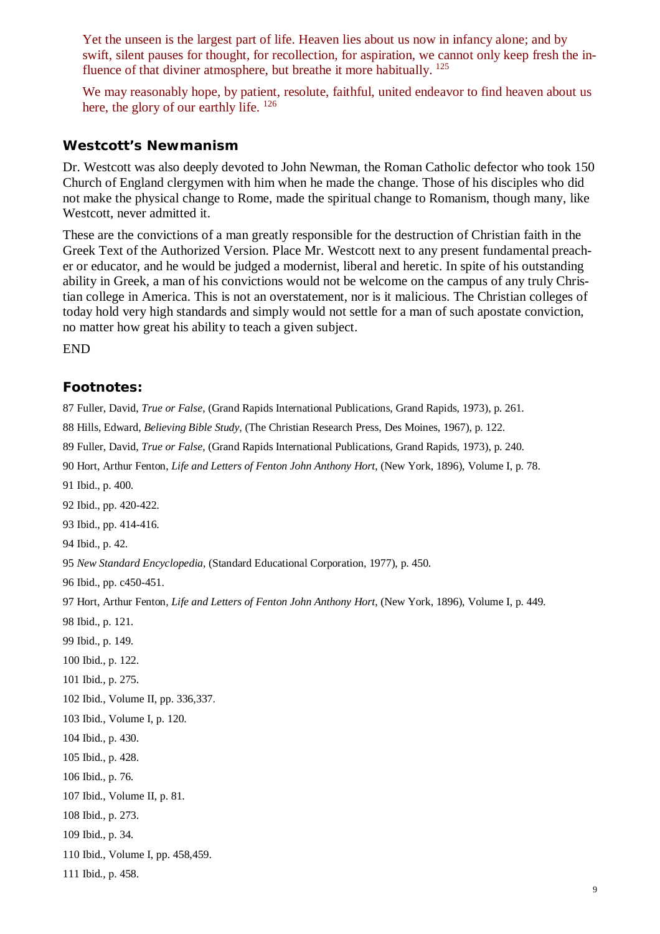Yet the unseen is the largest part of life. Heaven lies about us now in infancy alone; and by swift, silent pauses for thought, for recollection, for aspiration, we cannot only keep fresh the influence of that diviner atmosphere, but breathe it more habitually. <sup>125</sup>

We may reasonably hope, by patient, resolute, faithful, united endeavor to find heaven about us here, the glory of our earthly life. <sup>126</sup>

#### **Westcott's Newmanism**

Dr. Westcott was also deeply devoted to John Newman, the Roman Catholic defector who took 150 Church of England clergymen with him when he made the change. Those of his disciples who did not make the physical change to Rome, made the spiritual change to Romanism, though many, like Westcott, never admitted it.

These are the convictions of a man greatly responsible for the destruction of Christian faith in the Greek Text of the Authorized Version. Place Mr. Westcott next to any present fundamental preacher or educator, and he would be judged a modernist, liberal and heretic. In spite of his outstanding ability in Greek, a man of his convictions would not be welcome on the campus of any truly Christian college in America. This is not an overstatement, nor is it malicious. The Christian colleges of today hold very high standards and simply would not settle for a man of such apostate conviction, no matter how great his ability to teach a given subject.

END

#### **Footnotes:**

87 Fuller, David, *True or False*, (Grand Rapids International Publications, Grand Rapids, 1973), p. 261.

88 Hills, Edward, *Believing Bible Study*, (The Christian Research Press, Des Moines, 1967), p. 122.

89 Fuller, David, *True or False*, (Grand Rapids International Publications, Grand Rapids, 1973), p. 240.

90 Hort, Arthur Fenton, *Life and Letters of Fenton John Anthony Hort*, (New York, 1896), Volume I, p. 78.

91 Ibid., p. 400.

92 Ibid., pp. 420-422.

93 Ibid., pp. 414-416.

94 Ibid., p. 42.

95 *New Standard Encyclopedia*, (Standard Educational Corporation, 1977), p. 450.

96 Ibid., pp. c450-451.

97 Hort, Arthur Fenton, *Life and Letters of Fenton John Anthony Hort*, (New York, 1896), Volume I, p. 449.

98 Ibid., p. 121.

99 Ibid., p. 149.

100 Ibid., p. 122.

101 Ibid., p. 275.

102 Ibid., Volume II, pp. 336,337.

103 Ibid., Volume I, p. 120.

104 Ibid., p. 430.

105 Ibid., p. 428.

106 Ibid., p. 76.

107 Ibid., Volume II, p. 81.

108 Ibid., p. 273.

109 Ibid., p. 34.

110 Ibid., Volume I, pp. 458,459.

111 Ibid., p. 458.